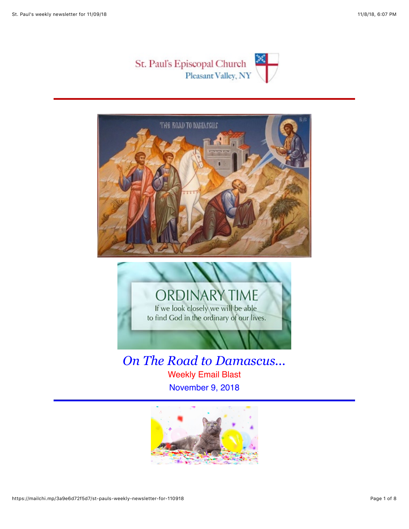





*On The Road to Damascus...* Weekly Email Blast November 9, 2018

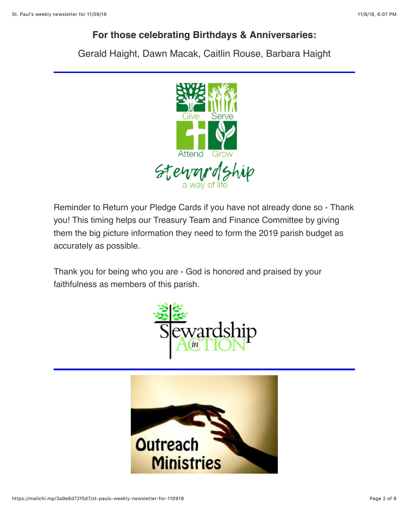## **For those celebrating Birthdays & Anniversaries:**

Gerald Haight, Dawn Macak, Caitlin Rouse, Barbara Haight



Reminder to Return your Pledge Cards if you have not already done so - Thank you! This timing helps our Treasury Team and Finance Committee by giving them the big picture information they need to form the 2019 parish budget as accurately as possible.

Thank you for being who you are - God is honored and praised by your faithfulness as members of this parish.



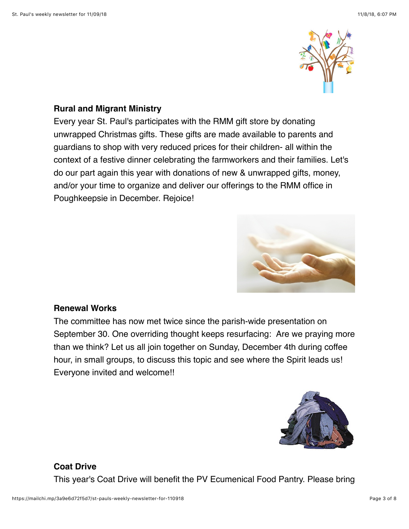

#### **Rural and Migrant Ministry**

Every year St. Paul's participates with the RMM gift store by donating unwrapped Christmas gifts. These gifts are made available to parents and guardians to shop with very reduced prices for their children- all within the context of a festive dinner celebrating the farmworkers and their families. Let's do our part again this year with donations of new & unwrapped gifts, money, and/or your time to organize and deliver our offerings to the RMM office in Poughkeepsie in December. Rejoice!



#### **Renewal Works**

The committee has now met twice since the parish-wide presentation on September 30. One overriding thought keeps resurfacing: Are we praying more than we think? Let us all join together on Sunday, December 4th during coffee hour, in small groups, to discuss this topic and see where the Spirit leads us! Everyone invited and welcome!!



### **Coat Drive**

This year's Coat Drive will benefit the PV Ecumenical Food Pantry. Please bring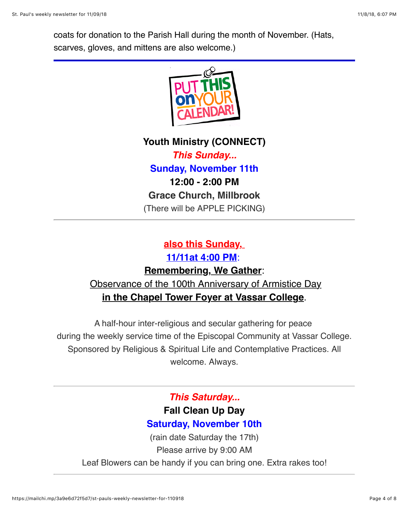coats for donation to the Parish Hall during the month of November. (Hats, scarves, gloves, and mittens are also welcome.)



**Youth Ministry (CONNECT)** *This Sunday...* **Sunday, November 11th 12:00 - 2:00 PM Grace Church, Millbrook** (There will be APPLE PICKING)

## **also this Sunday, 11/11at 4:00 PM**: **Remembering, We Gather**:

# Observance of the 100th Anniversary of Armistice Day **in the Chapel Tower Foyer at Vassar College**.

A half-hour inter-religious and secular gathering for peace during the weekly service time of the Episcopal Community at Vassar College. Sponsored by Religious & Spiritual Life and Contemplative Practices. All welcome. Always.

## *This Saturday...* **Fall Clean Up Day**

# **Saturday, November 10th**

(rain date Saturday the 17th) Please arrive by 9:00 AM Leaf Blowers can be handy if you can bring one. Extra rakes too!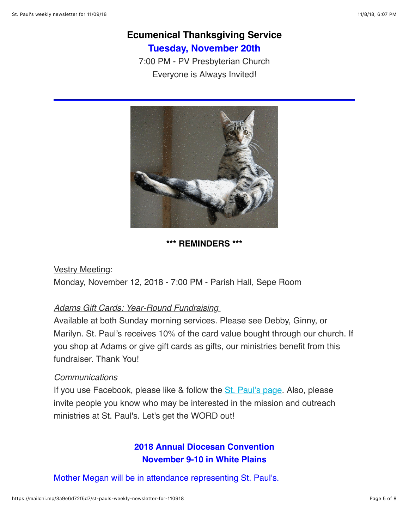## **Ecumenical Thanksgiving Service Tuesday, November 20th**

7:00 PM - PV Presbyterian Church Everyone is Always Invited!



#### **\*\*\* REMINDERS \*\*\***

Vestry Meeting: Monday, November 12, 2018 - 7:00 PM - Parish Hall, Sepe Room

#### *Adams Gift Cards: Year-Round Fundraising*

Available at both Sunday morning services. Please see Debby, Ginny, or Marilyn. St. Paul's receives 10% of the card value bought through our church. If you shop at Adams or give gift cards as gifts, our ministries benefit from this fundraiser. Thank You!

#### *Communications*

If you use Facebook, please like & follow the [St. Paul's page](https://www.facebook.com/stpaulspleasantvalley/?ref=bookmarks). Also, please invite people you know who may be interested in the mission and outreach ministries at St. Paul's. Let's get the WORD out!

### **2018 Annual Diocesan Convention November 9-10 in White Plains**

Mother Megan will be in attendance representing St. Paul's.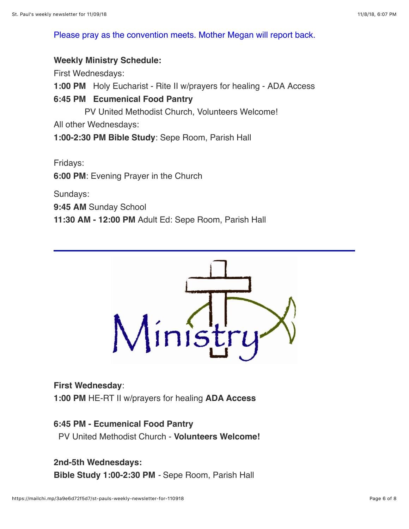Please pray as the convention meets. Mother Megan will report back.

#### **Weekly Ministry Schedule:**

First Wednesdays:

**1:00 PM** Holy Eucharist - Rite II w/prayers for healing - ADA Access

#### **6:45 PM Ecumenical Food Pantry**

PV United Methodist Church, Volunteers Welcome!

All other Wednesdays:

**1:00-2:30 PM Bible Study**: Sepe Room, Parish Hall

Fridays:

**6:00 PM**: Evening Prayer in the Church

Sundays:

**9:45 AM** Sunday School

**11:30 AM - 12:00 PM** Adult Ed: Sepe Room, Parish Hall



#### **First Wednesday**:

**1:00 PM** HE-RT II w/prayers for healing **ADA Access**

#### **6:45 PM - Ecumenical Food Pantry**

PV United Methodist Church - **Volunteers Welcome!**

#### **2nd-5th Wednesdays:**

**Bible Study 1:00-2:30 PM** *-* Sepe Room, Parish Hall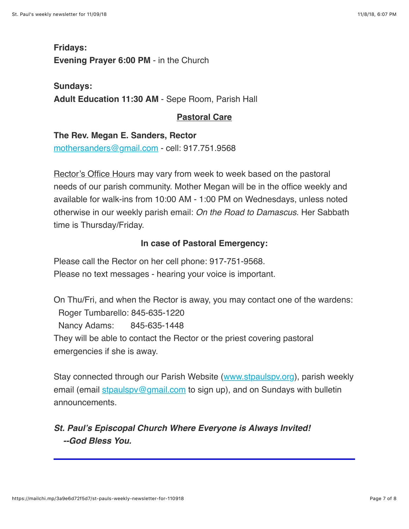**Fridays: Evening Prayer 6:00 PM** - in the Church

**Sundays: Adult Education 11:30 AM** - Sepe Room, Parish Hall

### **Pastoral Care**

**The Rev. Megan E. Sanders, Rector** [mothersanders@gmail.com](mailto:mothersanders@gmail.com) - cell: 917.751.9568

Rector's Office Hours may vary from week to week based on the pastoral needs of our parish community. Mother Megan will be in the office weekly and available for walk-ins from 10:00 AM - 1:00 PM on Wednesdays, unless noted otherwise in our weekly parish email: *On the Road to Damascus*. Her Sabbath time is Thursday/Friday.

#### **In case of Pastoral Emergency:**

Please call the Rector on her cell phone: 917-751-9568. Please no text messages - hearing your voice is important.

On Thu/Fri, and when the Rector is away, you may contact one of the wardens: Roger Tumbarello: 845-635-1220 Nancy Adams: 845-635-1448 They will be able to contact the Rector or the priest covering pastoral emergencies if she is away.

Stay connected through our Parish Website ([www.stpaulspv.org\)](http://www.stpaulspv.org/), parish weekly email (email stpaulspy@gmail.com to sign up), and on Sundays with bulletin announcements.

### *St. Paul's Episcopal Church Where Everyone is Always Invited! --God Bless You.*